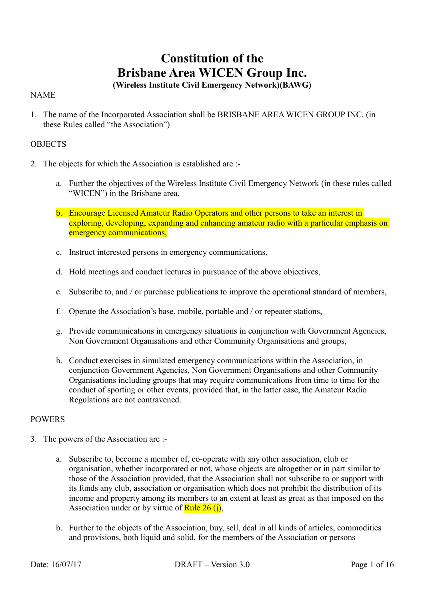# **Constitution of the Brisbane Area WICEN Group Inc.**

# **(Wireless Institute Civil Emergency Network)(BAWG)**

# NAME

1. The name of the Incorporated Association shall be BRISBANE AREA WICEN GROUP INC. (in these Rules called "the Association")

# **OBJECTS**

- 2. The objects for which the Association is established are :
	- a. Further the objectives of the Wireless Institute Civil Emergency Network (in these rules called "WICEN") in the Brisbane area,
	- b. Encourage Licensed Amateur Radio Operators and other persons to take an interest in exploring, developing, expanding and enhancing amateur radio with a particular emphasis on emergency communications,
	- c. Instruct interested persons in emergency communications,
	- d. Hold meetings and conduct lectures in pursuance of the above objectives,
	- e. Subscribe to, and / or purchase publications to improve the operational standard of members,
	- f. Operate the Association's base, mobile, portable and / or repeater stations,
	- g. Provide communications in emergency situations in conjunction with Government Agencies, Non Government Organisations and other Community Organisations and groups,
	- h. Conduct exercises in simulated emergency communications within the Association, in conjunction Government Agencies, Non Government Organisations and other Community Organisations including groups that may require communications from time to time for the conduct of sporting or other events, provided that, in the latter case, the Amateur Radio Regulations are not contravened.

# POWERS

- 3. The powers of the Association are :
	- a. Subscribe to, become a member of, co-operate with any other association, club or organisation, whether incorporated or not, whose objects are altogether or in part similar to those of the Association provided, that the Association shall not subscribe to or support with its funds any club, association or organisation which does not prohibit the distribution of its income and property among its members to an extent at least as great as that imposed on the Association under or by virtue of Rule  $26$  (j),
	- b. Further to the objects of the Association, buy, sell, deal in all kinds of articles, commodities and provisions, both liquid and solid, for the members of the Association or persons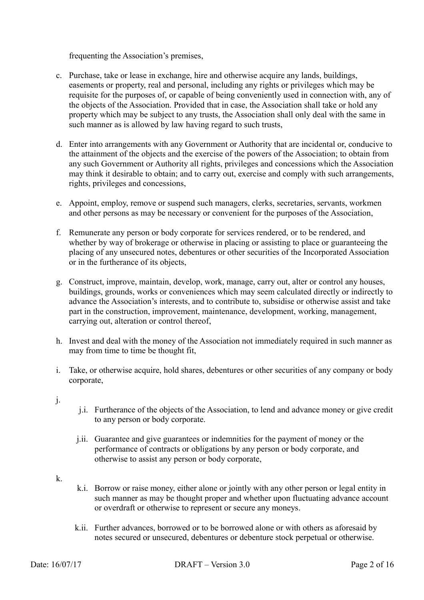frequenting the Association's premises,

- c. Purchase, take or lease in exchange, hire and otherwise acquire any lands, buildings, easements or property, real and personal, including any rights or privileges which may be requisite for the purposes of, or capable of being conveniently used in connection with, any of the objects of the Association. Provided that in case, the Association shall take or hold any property which may be subject to any trusts, the Association shall only deal with the same in such manner as is allowed by law having regard to such trusts,
- d. Enter into arrangements with any Government or Authority that are incidental or, conducive to the attainment of the objects and the exercise of the powers of the Association; to obtain from any such Government or Authority all rights, privileges and concessions which the Association may think it desirable to obtain; and to carry out, exercise and comply with such arrangements, rights, privileges and concessions,
- e. Appoint, employ, remove or suspend such managers, clerks, secretaries, servants, workmen and other persons as may be necessary or convenient for the purposes of the Association,
- f. Remunerate any person or body corporate for services rendered, or to be rendered, and whether by way of brokerage or otherwise in placing or assisting to place or guaranteeing the placing of any unsecured notes, debentures or other securities of the Incorporated Association or in the furtherance of its objects,
- g. Construct, improve, maintain, develop, work, manage, carry out, alter or control any houses, buildings, grounds, works or conveniences which may seem calculated directly or indirectly to advance the Association's interests, and to contribute to, subsidise or otherwise assist and take part in the construction, improvement, maintenance, development, working, management, carrying out, alteration or control thereof,
- h. Invest and deal with the money of the Association not immediately required in such manner as may from time to time be thought fit,
- i. Take, or otherwise acquire, hold shares, debentures or other securities of any company or body corporate,
- j.
- j.i. Furtherance of the objects of the Association, to lend and advance money or give credit to any person or body corporate.
- j.ii. Guarantee and give guarantees or indemnities for the payment of money or the performance of contracts or obligations by any person or body corporate, and otherwise to assist any person or body corporate,
- k.
- k.i. Borrow or raise money, either alone or jointly with any other person or legal entity in such manner as may be thought proper and whether upon fluctuating advance account or overdraft or otherwise to represent or secure any moneys.
- k.ii. Further advances, borrowed or to be borrowed alone or with others as aforesaid by notes secured or unsecured, debentures or debenture stock perpetual or otherwise.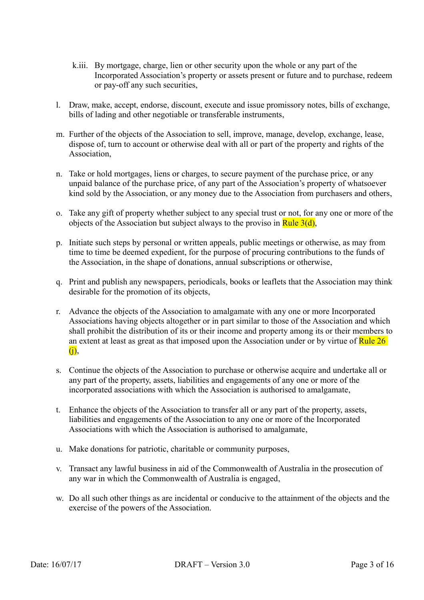- k.iii. By mortgage, charge, lien or other security upon the whole or any part of the Incorporated Association's property or assets present or future and to purchase, redeem or pay-off any such securities,
- l. Draw, make, accept, endorse, discount, execute and issue promissory notes, bills of exchange, bills of lading and other negotiable or transferable instruments,
- m. Further of the objects of the Association to sell, improve, manage, develop, exchange, lease, dispose of, turn to account or otherwise deal with all or part of the property and rights of the **Association**
- n. Take or hold mortgages, liens or charges, to secure payment of the purchase price, or any unpaid balance of the purchase price, of any part of the Association's property of whatsoever kind sold by the Association, or any money due to the Association from purchasers and others,
- o. Take any gift of property whether subject to any special trust or not, for any one or more of the objects of the Association but subject always to the proviso in Rule  $3(d)$ ,
- p. Initiate such steps by personal or written appeals, public meetings or otherwise, as may from time to time be deemed expedient, for the purpose of procuring contributions to the funds of the Association, in the shape of donations, annual subscriptions or otherwise,
- q. Print and publish any newspapers, periodicals, books or leaflets that the Association may think desirable for the promotion of its objects,
- r. Advance the objects of the Association to amalgamate with any one or more Incorporated Associations having objects altogether or in part similar to those of the Association and which shall prohibit the distribution of its or their income and property among its or their members to an extent at least as great as that imposed upon the Association under or by virtue of Rule 26 (j),
- s. Continue the objects of the Association to purchase or otherwise acquire and undertake all or any part of the property, assets, liabilities and engagements of any one or more of the incorporated associations with which the Association is authorised to amalgamate,
- t. Enhance the objects of the Association to transfer all or any part of the property, assets, liabilities and engagements of the Association to any one or more of the Incorporated Associations with which the Association is authorised to amalgamate,
- u. Make donations for patriotic, charitable or community purposes,
- v. Transact any lawful business in aid of the Commonwealth of Australia in the prosecution of any war in which the Commonwealth of Australia is engaged,
- w. Do all such other things as are incidental or conducive to the attainment of the objects and the exercise of the powers of the Association.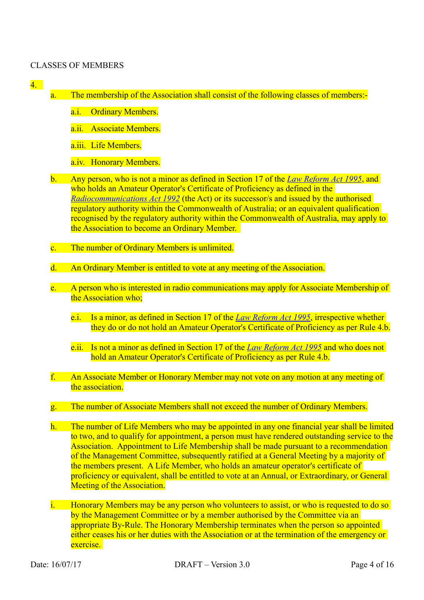#### CLASSES OF MEMBERS

- 4.
- a. The membership of the Association shall consist of the following classes of members:
	- a.i. Ordinary Members.
	- a.ii. Associate Members.
	- a.iii. Life Members.
	- a.iv. Honorary Members.
- b. Any person, who is not a minor as defined in Section 17 of the *[Law Reform Act 1995](https://www.legislation.qld.gov.au/LEGISLTN/CURRENT/L/LawReformA95.pdf)*, and who holds an Amateur Operator's Certificate of Proficiency as defined in the *[Radiocommunications Act 1992](http://www.comlaw.gov.au/Details/C2011C00072)* (the Act) or its successor/s and issued by the authorised regulatory authority within the Commonwealth of Australia; or an equivalent qualification recognised by the regulatory authority within the Commonwealth of Australia, may apply to the Association to become an Ordinary Member.
- c. The number of Ordinary Members is unlimited.
- d. An Ordinary Member is entitled to vote at any meeting of the Association.
- e. A person who is interested in radio communications may apply for Associate Membership of the Association who;
	- e.i. Is a minor, as defined in Section 17 of the *[Law Reform Act 1995](https://www.legislation.qld.gov.au/LEGISLTN/CURRENT/L/LawReformA95.pdf)*, irrespective whether they do or do not hold an Amateur Operator's Certificate of Proficiency as per Rule 4.b.
	- e.ii. Is not a minor as defined in Section 17 of the *[Law Reform Act 1995](https://www.legislation.qld.gov.au/LEGISLTN/CURRENT/L/LawReformA95.pdf)* and who does not hold an Amateur Operator's Certificate of Proficiency as per Rule 4.b.
- f. An Associate Member or Honorary Member may not vote on any motion at any meeting of the association.
- g. The number of Associate Members shall not exceed the number of Ordinary Members.
- h. The number of Life Members who may be appointed in any one financial year shall be limited to two, and to qualify for appointment, a person must have rendered outstanding service to the Association. Appointment to Life Membership shall be made pursuant to a recommendation of the Management Committee, subsequently ratified at a General Meeting by a majority of the members present. A Life Member, who holds an amateur operator's certificate of proficiency or equivalent, shall be entitled to vote at an Annual, or Extraordinary, or General Meeting of the Association.
- i. Honorary Members may be any person who volunteers to assist, or who is requested to do so by the Management Committee or by a member authorised by the Committee via an appropriate By-Rule. The Honorary Membership terminates when the person so appointed either ceases his or her duties with the Association or at the termination of the emergency or exercise.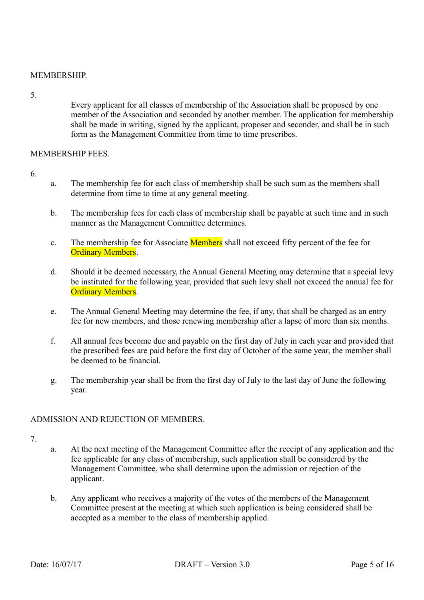# **MEMBERSHIP**

5.

Every applicant for all classes of membership of the Association shall be proposed by one member of the Association and seconded by another member. The application for membership shall be made in writing, signed by the applicant, proposer and seconder, and shall be in such form as the Management Committee from time to time prescribes.

#### MEMBERSHIP FEES.

- 6.
- a. The membership fee for each class of membership shall be such sum as the members shall determine from time to time at any general meeting.
- b. The membership fees for each class of membership shall be payable at such time and in such manner as the Management Committee determines.
- c. The membership fee for Associate **Members** shall not exceed fifty percent of the fee for **Ordinary Members.**
- d. Should it be deemed necessary, the Annual General Meeting may determine that a special levy be instituted for the following year, provided that such levy shall not exceed the annual fee for Ordinary Members.
- e. The Annual General Meeting may determine the fee, if any, that shall be charged as an entry fee for new members, and those renewing membership after a lapse of more than six months.
- f. All annual fees become due and payable on the first day of July in each year and provided that the prescribed fees are paid before the first day of October of the same year, the member shall be deemed to be financial.
- g. The membership year shall be from the first day of July to the last day of June the following year.

# ADMISSION AND REJECTION OF MEMBERS.

- 7.
- a. At the next meeting of the Management Committee after the receipt of any application and the fee applicable for any class of membership, such application shall be considered by the Management Committee, who shall determine upon the admission or rejection of the applicant.
- b. Any applicant who receives a majority of the votes of the members of the Management Committee present at the meeting at which such application is being considered shall be accepted as a member to the class of membership applied.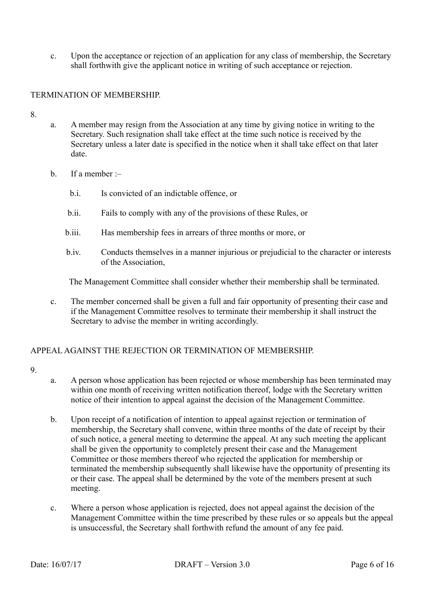c. Upon the acceptance or rejection of an application for any class of membership, the Secretary shall forthwith give the applicant notice in writing of such acceptance or rejection.

#### TERMINATION OF MEMBERSHIP.

8.

- a. A member may resign from the Association at any time by giving notice in writing to the Secretary. Such resignation shall take effect at the time such notice is received by the Secretary unless a later date is specified in the notice when it shall take effect on that later date.
- b. If a member :–
	- b.i. Is convicted of an indictable offence, or
	- b.ii. Fails to comply with any of the provisions of these Rules, or
	- b.iii. Has membership fees in arrears of three months or more, or
	- b.iv. Conducts themselves in a manner injurious or prejudicial to the character or interests of the Association,

The Management Committee shall consider whether their membership shall be terminated.

c. The member concerned shall be given a full and fair opportunity of presenting their case and if the Management Committee resolves to terminate their membership it shall instruct the Secretary to advise the member in writing accordingly.

# APPEAL AGAINST THE REJECTION OR TERMINATION OF MEMBERSHIP.

- 9.
- a. A person whose application has been rejected or whose membership has been terminated may within one month of receiving written notification thereof, lodge with the Secretary written notice of their intention to appeal against the decision of the Management Committee.
- b. Upon receipt of a notification of intention to appeal against rejection or termination of membership, the Secretary shall convene, within three months of the date of receipt by their of such notice, a general meeting to determine the appeal. At any such meeting the applicant shall be given the opportunity to completely present their case and the Management Committee or those members thereof who rejected the application for membership or terminated the membership subsequently shall likewise have the opportunity of presenting its or their case. The appeal shall be determined by the vote of the members present at such meeting.
- c. Where a person whose application is rejected, does not appeal against the decision of the Management Committee within the time prescribed by these rules or so appeals but the appeal is unsuccessful, the Secretary shall forthwith refund the amount of any fee paid.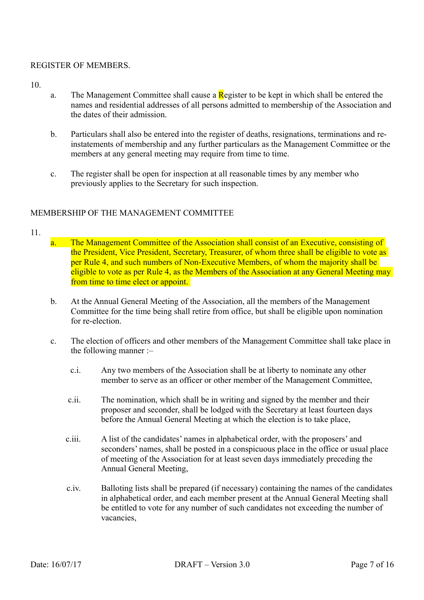#### REGISTER OF MEMBERS.

10.

- a. The Management Committee shall cause a  $\mathbf{R}$  egister to be kept in which shall be entered the names and residential addresses of all persons admitted to membership of the Association and the dates of their admission.
- b. Particulars shall also be entered into the register of deaths, resignations, terminations and reinstatements of membership and any further particulars as the Management Committee or the members at any general meeting may require from time to time.
- c. The register shall be open for inspection at all reasonable times by any member who previously applies to the Secretary for such inspection.

#### MEMBERSHIP OF THE MANAGEMENT COMMITTEE

- 11.
- a. The Management Committee of the Association shall consist of an Executive, consisting of the President, Vice President, Secretary, Treasurer, of whom three shall be eligible to vote as per Rule 4, and such numbers of Non-Executive Members, of whom the majority shall be eligible to vote as per Rule 4, as the Members of the Association at any General Meeting may from time to time elect or appoint.
- b. At the Annual General Meeting of the Association, all the members of the Management Committee for the time being shall retire from office, but shall be eligible upon nomination for re-election.
- c. The election of officers and other members of the Management Committee shall take place in the following manner :–
	- c.i. Any two members of the Association shall be at liberty to nominate any other member to serve as an officer or other member of the Management Committee,
	- c.ii. The nomination, which shall be in writing and signed by the member and their proposer and seconder, shall be lodged with the Secretary at least fourteen days before the Annual General Meeting at which the election is to take place,
	- c.iii. A list of the candidates' names in alphabetical order, with the proposers' and seconders' names, shall be posted in a conspicuous place in the office or usual place of meeting of the Association for at least seven days immediately preceding the Annual General Meeting,
	- c.iv. Balloting lists shall be prepared (if necessary) containing the names of the candidates in alphabetical order, and each member present at the Annual General Meeting shall be entitled to vote for any number of such candidates not exceeding the number of vacancies,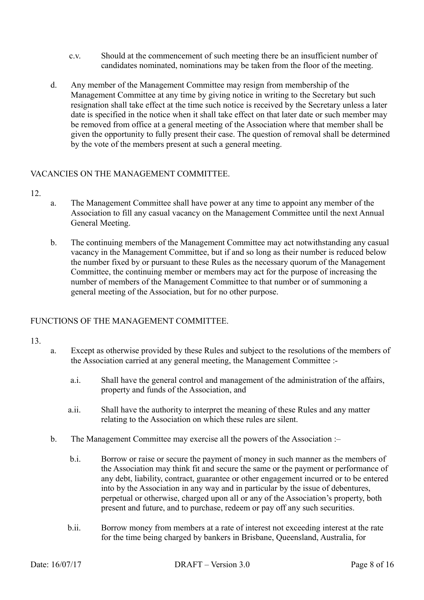- c.v. Should at the commencement of such meeting there be an insufficient number of candidates nominated, nominations may be taken from the floor of the meeting.
- d. Any member of the Management Committee may resign from membership of the Management Committee at any time by giving notice in writing to the Secretary but such resignation shall take effect at the time such notice is received by the Secretary unless a later date is specified in the notice when it shall take effect on that later date or such member may be removed from office at a general meeting of the Association where that member shall be given the opportunity to fully present their case. The question of removal shall be determined by the vote of the members present at such a general meeting.

# VACANCIES ON THE MANAGEMENT COMMITTEE.

- 12.
- a. The Management Committee shall have power at any time to appoint any member of the Association to fill any casual vacancy on the Management Committee until the next Annual General Meeting.
- b. The continuing members of the Management Committee may act notwithstanding any casual vacancy in the Management Committee, but if and so long as their number is reduced below the number fixed by or pursuant to these Rules as the necessary quorum of the Management Committee, the continuing member or members may act for the purpose of increasing the number of members of the Management Committee to that number or of summoning a general meeting of the Association, but for no other purpose.

# FUNCTIONS OF THE MANAGEMENT COMMITTEE.

- 13.
- a. Except as otherwise provided by these Rules and subject to the resolutions of the members of the Association carried at any general meeting, the Management Committee :
	- a.i. Shall have the general control and management of the administration of the affairs, property and funds of the Association, and
	- a.ii. Shall have the authority to interpret the meaning of these Rules and any matter relating to the Association on which these rules are silent.
- b. The Management Committee may exercise all the powers of the Association :
	- b.i. Borrow or raise or secure the payment of money in such manner as the members of the Association may think fit and secure the same or the payment or performance of any debt, liability, contract, guarantee or other engagement incurred or to be entered into by the Association in any way and in particular by the issue of debentures, perpetual or otherwise, charged upon all or any of the Association's property, both present and future, and to purchase, redeem or pay off any such securities.
	- b.ii. Borrow money from members at a rate of interest not exceeding interest at the rate for the time being charged by bankers in Brisbane, Queensland, Australia, for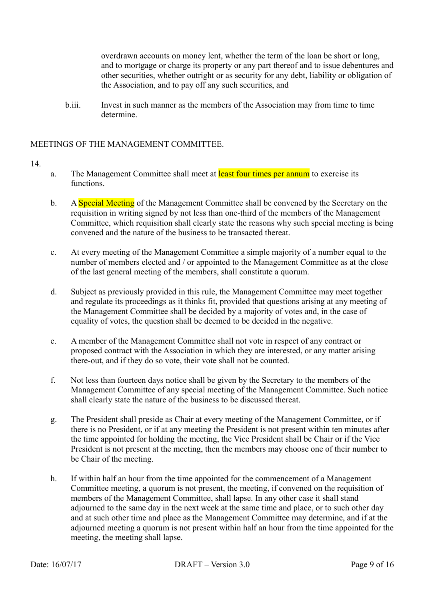overdrawn accounts on money lent, whether the term of the loan be short or long, and to mortgage or charge its property or any part thereof and to issue debentures and other securities, whether outright or as security for any debt, liability or obligation of the Association, and to pay off any such securities, and

b.iii. Invest in such manner as the members of the Association may from time to time determine.

# MEETINGS OF THE MANAGEMENT COMMITTEE.

- a. The Management Committee shall meet at least four times per annum to exercise its functions.
- b. A Special Meeting of the Management Committee shall be convened by the Secretary on the requisition in writing signed by not less than one-third of the members of the Management Committee, which requisition shall clearly state the reasons why such special meeting is being convened and the nature of the business to be transacted thereat.
- c. At every meeting of the Management Committee a simple majority of a number equal to the number of members elected and / or appointed to the Management Committee as at the close of the last general meeting of the members, shall constitute a quorum.
- d. Subject as previously provided in this rule, the Management Committee may meet together and regulate its proceedings as it thinks fit, provided that questions arising at any meeting of the Management Committee shall be decided by a majority of votes and, in the case of equality of votes, the question shall be deemed to be decided in the negative.
- e. A member of the Management Committee shall not vote in respect of any contract or proposed contract with the Association in which they are interested, or any matter arising there-out, and if they do so vote, their vote shall not be counted.
- f. Not less than fourteen days notice shall be given by the Secretary to the members of the Management Committee of any special meeting of the Management Committee. Such notice shall clearly state the nature of the business to be discussed thereat.
- g. The President shall preside as Chair at every meeting of the Management Committee, or if there is no President, or if at any meeting the President is not present within ten minutes after the time appointed for holding the meeting, the Vice President shall be Chair or if the Vice President is not present at the meeting, then the members may choose one of their number to be Chair of the meeting.
- h. If within half an hour from the time appointed for the commencement of a Management Committee meeting, a quorum is not present, the meeting, if convened on the requisition of members of the Management Committee, shall lapse. In any other case it shall stand adjourned to the same day in the next week at the same time and place, or to such other day and at such other time and place as the Management Committee may determine, and if at the adjourned meeting a quorum is not present within half an hour from the time appointed for the meeting, the meeting shall lapse.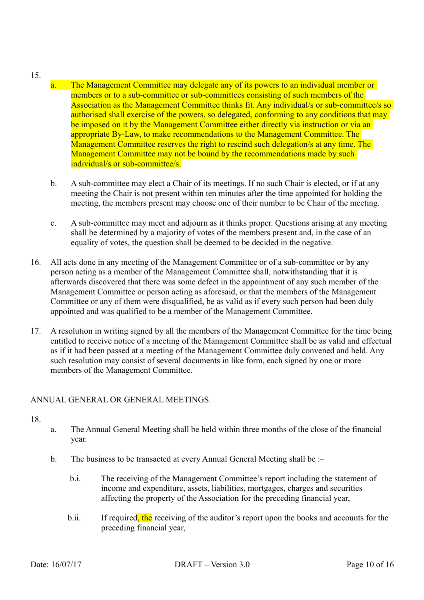#### 15.

- a. The Management Committee may delegate any of its powers to an individual member or members or to a sub-committee or sub-committees consisting of such members of the Association as the Management Committee thinks fit. Any individual/s or sub-committee/s so authorised shall exercise of the powers, so delegated, conforming to any conditions that may be imposed on it by the Management Committee either directly via instruction or via an appropriate By-Law, to make recommendations to the Management Committee. The Management Committee reserves the right to rescind such delegation/s at any time. The Management Committee may not be bound by the recommendations made by such individual/s or sub-committee/s.
- b. A sub-committee may elect a Chair of its meetings. If no such Chair is elected, or if at any meeting the Chair is not present within ten minutes after the time appointed for holding the meeting, the members present may choose one of their number to be Chair of the meeting.
- c. A sub-committee may meet and adjourn as it thinks proper. Questions arising at any meeting shall be determined by a majority of votes of the members present and, in the case of an equality of votes, the question shall be deemed to be decided in the negative.
- 16. All acts done in any meeting of the Management Committee or of a sub-committee or by any person acting as a member of the Management Committee shall, notwithstanding that it is afterwards discovered that there was some defect in the appointment of any such member of the Management Committee or person acting as aforesaid, or that the members of the Management Committee or any of them were disqualified, be as valid as if every such person had been duly appointed and was qualified to be a member of the Management Committee.
- 17. A resolution in writing signed by all the members of the Management Committee for the time being entitled to receive notice of a meeting of the Management Committee shall be as valid and effectual as if it had been passed at a meeting of the Management Committee duly convened and held. Any such resolution may consist of several documents in like form, each signed by one or more members of the Management Committee.

# ANNUAL GENERAL OR GENERAL MEETINGS.

- a. The Annual General Meeting shall be held within three months of the close of the financial year.
- b. The business to be transacted at every Annual General Meeting shall be :
	- b.i. The receiving of the Management Committee's report including the statement of income and expenditure, assets, liabilities, mortgages, charges and securities affecting the property of the Association for the preceding financial year,
	- b.ii. If required, the receiving of the auditor's report upon the books and accounts for the preceding financial year,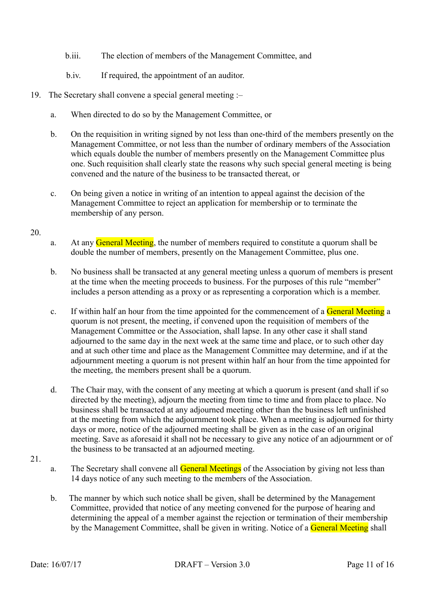- b.iii. The election of members of the Management Committee, and
- b.iv. If required, the appointment of an auditor.
- 19. The Secretary shall convene a special general meeting :–
	- a. When directed to do so by the Management Committee, or
	- b. On the requisition in writing signed by not less than one-third of the members presently on the Management Committee, or not less than the number of ordinary members of the Association which equals double the number of members presently on the Management Committee plus one. Such requisition shall clearly state the reasons why such special general meeting is being convened and the nature of the business to be transacted thereat, or
	- c. On being given a notice in writing of an intention to appeal against the decision of the Management Committee to reject an application for membership or to terminate the membership of any person.

- a. At any **General Meeting**, the number of members required to constitute a quorum shall be double the number of members, presently on the Management Committee, plus one.
- b. No business shall be transacted at any general meeting unless a quorum of members is present at the time when the meeting proceeds to business. For the purposes of this rule "member" includes a person attending as a proxy or as representing a corporation which is a member.
- c. If within half an hour from the time appointed for the commencement of a General Meeting a quorum is not present, the meeting, if convened upon the requisition of members of the Management Committee or the Association, shall lapse. In any other case it shall stand adjourned to the same day in the next week at the same time and place, or to such other day and at such other time and place as the Management Committee may determine, and if at the adjournment meeting a quorum is not present within half an hour from the time appointed for the meeting, the members present shall be a quorum.
- d. The Chair may, with the consent of any meeting at which a quorum is present (and shall if so directed by the meeting), adjourn the meeting from time to time and from place to place. No business shall be transacted at any adjourned meeting other than the business left unfinished at the meeting from which the adjournment took place. When a meeting is adjourned for thirty days or more, notice of the adjourned meeting shall be given as in the case of an original meeting. Save as aforesaid it shall not be necessary to give any notice of an adjournment or of the business to be transacted at an adjourned meeting.
- 21.
- a. The Secretary shall convene all **General Meetings** of the Association by giving not less than 14 days notice of any such meeting to the members of the Association.
- b. The manner by which such notice shall be given, shall be determined by the Management Committee, provided that notice of any meeting convened for the purpose of hearing and determining the appeal of a member against the rejection or termination of their membership by the Management Committee, shall be given in writing. Notice of a General Meeting shall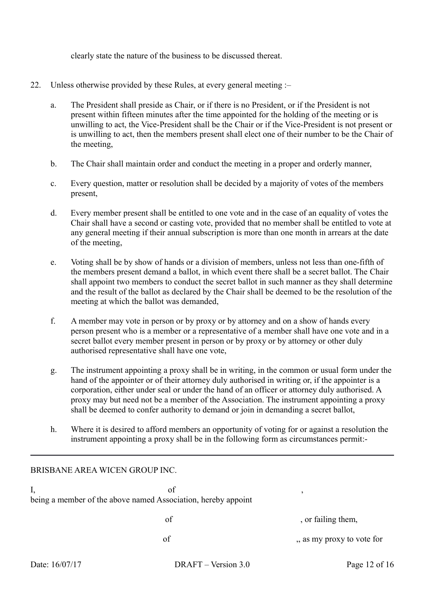clearly state the nature of the business to be discussed thereat.

- 22. Unless otherwise provided by these Rules, at every general meeting :–
	- a. The President shall preside as Chair, or if there is no President, or if the President is not present within fifteen minutes after the time appointed for the holding of the meeting or is unwilling to act, the Vice-President shall be the Chair or if the Vice-President is not present or is unwilling to act, then the members present shall elect one of their number to be the Chair of the meeting,
	- b. The Chair shall maintain order and conduct the meeting in a proper and orderly manner,
	- c. Every question, matter or resolution shall be decided by a majority of votes of the members present,
	- d. Every member present shall be entitled to one vote and in the case of an equality of votes the Chair shall have a second or casting vote, provided that no member shall be entitled to vote at any general meeting if their annual subscription is more than one month in arrears at the date of the meeting,
	- e. Voting shall be by show of hands or a division of members, unless not less than one-fifth of the members present demand a ballot, in which event there shall be a secret ballot. The Chair shall appoint two members to conduct the secret ballot in such manner as they shall determine and the result of the ballot as declared by the Chair shall be deemed to be the resolution of the meeting at which the ballot was demanded,
	- f. A member may vote in person or by proxy or by attorney and on a show of hands every person present who is a member or a representative of a member shall have one vote and in a secret ballot every member present in person or by proxy or by attorney or other duly authorised representative shall have one vote,
	- g. The instrument appointing a proxy shall be in writing, in the common or usual form under the hand of the appointer or of their attorney duly authorised in writing or, if the appointer is a corporation, either under seal or under the hand of an officer or attorney duly authorised. A proxy may but need not be a member of the Association. The instrument appointing a proxy shall be deemed to confer authority to demand or join in demanding a secret ballot,
	- h. Where it is desired to afford members an opportunity of voting for or against a resolution the instrument appointing a proxy shall be in the following form as circumstances permit:-

# BRISBANE AREA WICEN GROUP INC.  $I,$  of , being a member of the above named Association, hereby appoint of  $\overline{\phantom{a}}$  , or failing them, of ,, as my proxy to vote for Date: 16/07/17 DRAFT – Version 3.0 Page 12 of 16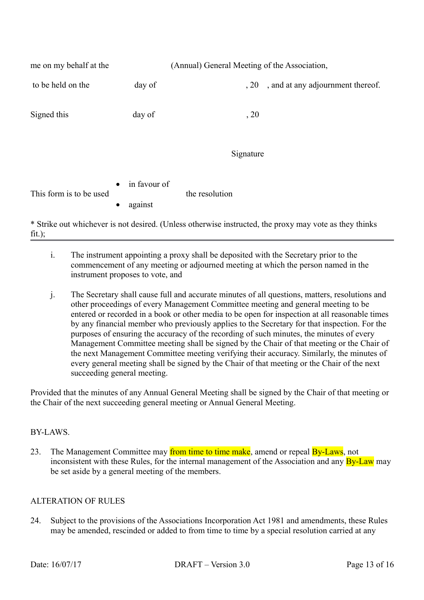| me on my behalf at the                                                                                 |                                                   | (Annual) General Meeting of the Association, |
|--------------------------------------------------------------------------------------------------------|---------------------------------------------------|----------------------------------------------|
| to be held on the                                                                                      | day of                                            | , and at any adjournment thereof.<br>, 20    |
| Signed this                                                                                            | day of                                            | , 20                                         |
|                                                                                                        |                                                   | Signature                                    |
| This form is to be used                                                                                | in favour of<br>$\bullet$<br>against<br>$\bullet$ | the resolution                               |
| * Strike out whichever is not desired. (Unless otherwise instructed, the proxy may vote as they thinks |                                                   |                                              |

 $fit.$ ):

- i. The instrument appointing a proxy shall be deposited with the Secretary prior to the commencement of any meeting or adjourned meeting at which the person named in the instrument proposes to vote, and
- j. The Secretary shall cause full and accurate minutes of all questions, matters, resolutions and other proceedings of every Management Committee meeting and general meeting to be entered or recorded in a book or other media to be open for inspection at all reasonable times by any financial member who previously applies to the Secretary for that inspection. For the purposes of ensuring the accuracy of the recording of such minutes, the minutes of every Management Committee meeting shall be signed by the Chair of that meeting or the Chair of the next Management Committee meeting verifying their accuracy. Similarly, the minutes of every general meeting shall be signed by the Chair of that meeting or the Chair of the next succeeding general meeting.

Provided that the minutes of any Annual General Meeting shall be signed by the Chair of that meeting or the Chair of the next succeeding general meeting or Annual General Meeting.

# BY-LAWS.

23. The Management Committee may from time to time make, amend or repeal By-Laws, not inconsistent with these Rules, for the internal management of the Association and any **By-Law** may be set aside by a general meeting of the members.

# ALTERATION OF RULES

24. Subject to the provisions of the Associations Incorporation Act 1981 and amendments, these Rules may be amended, rescinded or added to from time to time by a special resolution carried at any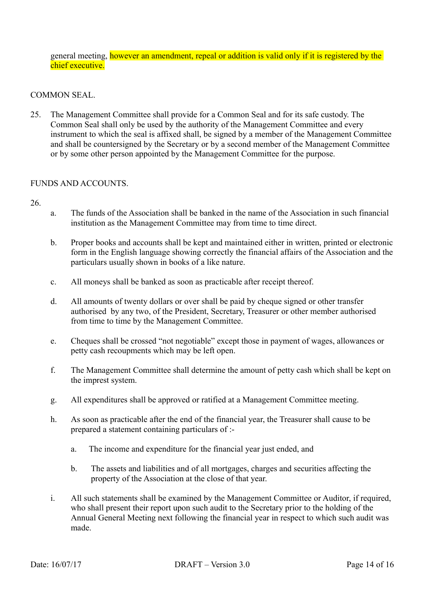general meeting, however an amendment, repeal or addition is valid only if it is registered by the chief executive.

#### COMMON SEAL.

25. The Management Committee shall provide for a Common Seal and for its safe custody. The Common Seal shall only be used by the authority of the Management Committee and every instrument to which the seal is affixed shall, be signed by a member of the Management Committee and shall be countersigned by the Secretary or by a second member of the Management Committee or by some other person appointed by the Management Committee for the purpose.

#### FUNDS AND ACCOUNTS.

- a. The funds of the Association shall be banked in the name of the Association in such financial institution as the Management Committee may from time to time direct.
- b. Proper books and accounts shall be kept and maintained either in written, printed or electronic form in the English language showing correctly the financial affairs of the Association and the particulars usually shown in books of a like nature.
- c. All moneys shall be banked as soon as practicable after receipt thereof.
- d. All amounts of twenty dollars or over shall be paid by cheque signed or other transfer authorised by any two, of the President, Secretary, Treasurer or other member authorised from time to time by the Management Committee.
- e. Cheques shall be crossed "not negotiable" except those in payment of wages, allowances or petty cash recoupments which may be left open.
- f. The Management Committee shall determine the amount of petty cash which shall be kept on the imprest system.
- g. All expenditures shall be approved or ratified at a Management Committee meeting.
- h. As soon as practicable after the end of the financial year, the Treasurer shall cause to be prepared a statement containing particulars of :
	- a. The income and expenditure for the financial year just ended, and
	- b. The assets and liabilities and of all mortgages, charges and securities affecting the property of the Association at the close of that year.
- i. All such statements shall be examined by the Management Committee or Auditor, if required, who shall present their report upon such audit to the Secretary prior to the holding of the Annual General Meeting next following the financial year in respect to which such audit was made.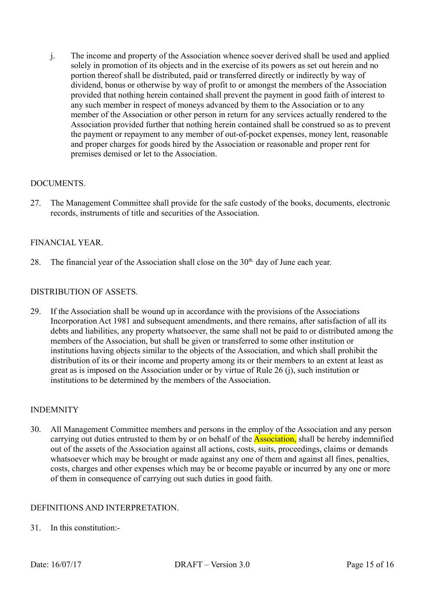j. The income and property of the Association whence soever derived shall be used and applied solely in promotion of its objects and in the exercise of its powers as set out herein and no portion thereof shall be distributed, paid or transferred directly or indirectly by way of dividend, bonus or otherwise by way of profit to or amongst the members of the Association provided that nothing herein contained shall prevent the payment in good faith of interest to any such member in respect of moneys advanced by them to the Association or to any member of the Association or other person in return for any services actually rendered to the Association provided further that nothing herein contained shall be construed so as to prevent the payment or repayment to any member of out-of-pocket expenses, money lent, reasonable and proper charges for goods hired by the Association or reasonable and proper rent for premises demised or let to the Association.

# DOCUMENTS.

27. The Management Committee shall provide for the safe custody of the books, documents, electronic records, instruments of title and securities of the Association.

# FINANCIAL YEAR.

28. The financial year of the Association shall close on the  $30<sup>th</sup>$  day of June each year.

# DISTRIBUTION OF ASSETS.

29. If the Association shall be wound up in accordance with the provisions of the Associations Incorporation Act 1981 and subsequent amendments, and there remains, after satisfaction of all its debts and liabilities, any property whatsoever, the same shall not be paid to or distributed among the members of the Association, but shall be given or transferred to some other institution or institutions having objects similar to the objects of the Association, and which shall prohibit the distribution of its or their income and property among its or their members to an extent at least as great as is imposed on the Association under or by virtue of Rule 26 (j), such institution or institutions to be determined by the members of the Association.

#### INDEMNITY

30. All Management Committee members and persons in the employ of the Association and any person carrying out duties entrusted to them by or on behalf of the **Association**, shall be hereby indemnified out of the assets of the Association against all actions, costs, suits, proceedings, claims or demands whatsoever which may be brought or made against any one of them and against all fines, penalties, costs, charges and other expenses which may be or become payable or incurred by any one or more of them in consequence of carrying out such duties in good faith.

# DEFINITIONS AND INTERPRETATION.

31. In this constitution:-